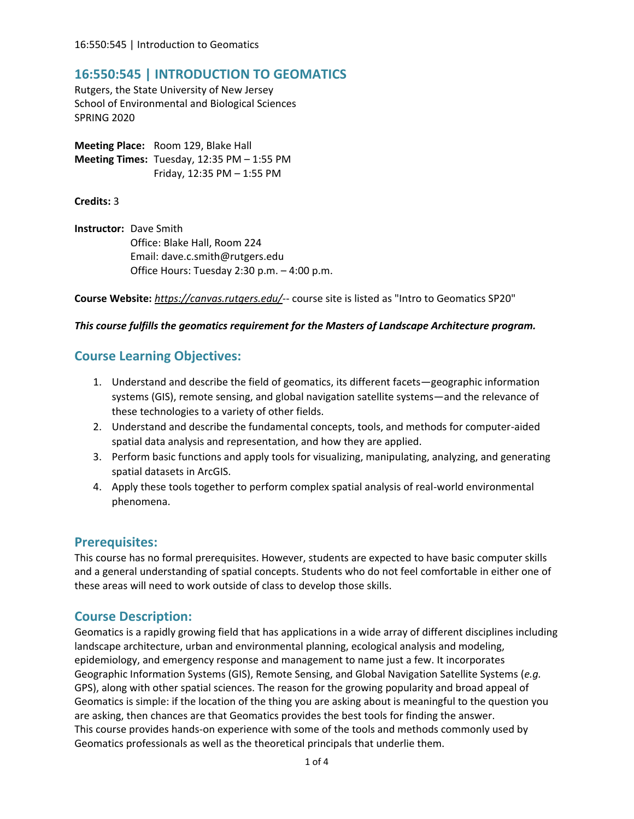## **16:550:545 | INTRODUCTION TO GEOMATICS**

Rutgers, the State University of New Jersey School of Environmental and Biological Sciences SPRING 2020

**Meeting Place:** Room 129, Blake Hall **Meeting Times:** Tuesday, 12:35 PM – 1:55 PM Friday, 12:35 PM – 1:55 PM

**Credits:** 3

**Instructor:** Dave Smith Office: Blake Hall, Room 224 Email: dave.c.smith@rutgers.edu Office Hours: Tuesday 2:30 p.m. – 4:00 p.m.

**Course Website:** *https://canvas.rutgers.edu/*-- course site is listed as "Intro to Geomatics SP20"

#### *This course fulfills the geomatics requirement for the Masters of Landscape Architecture program.*

## **Course Learning Objectives:**

- 1. Understand and describe the field of geomatics, its different facets—geographic information systems (GIS), remote sensing, and global navigation satellite systems—and the relevance of these technologies to a variety of other fields.
- 2. Understand and describe the fundamental concepts, tools, and methods for computer-aided spatial data analysis and representation, and how they are applied.
- 3. Perform basic functions and apply tools for visualizing, manipulating, analyzing, and generating spatial datasets in ArcGIS.
- 4. Apply these tools together to perform complex spatial analysis of real-world environmental phenomena.

### **Prerequisites:**

This course has no formal prerequisites. However, students are expected to have basic computer skills and a general understanding of spatial concepts. Students who do not feel comfortable in either one of these areas will need to work outside of class to develop those skills.

### **Course Description:**

Geomatics is a rapidly growing field that has applications in a wide array of different disciplines including landscape architecture, urban and environmental planning, ecological analysis and modeling, epidemiology, and emergency response and management to name just a few. It incorporates Geographic Information Systems (GIS), Remote Sensing, and Global Navigation Satellite Systems (*e.g.* GPS), along with other spatial sciences. The reason for the growing popularity and broad appeal of Geomatics is simple: if the location of the thing you are asking about is meaningful to the question you are asking, then chances are that Geomatics provides the best tools for finding the answer. This course provides hands-on experience with some of the tools and methods commonly used by Geomatics professionals as well as the theoretical principals that underlie them.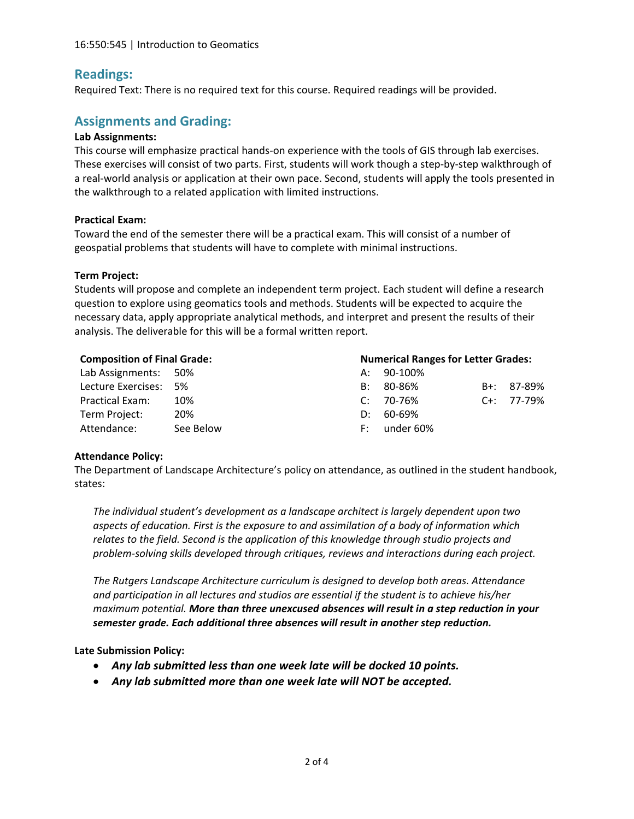## **Readings:**

Required Text: There is no required text for this course. Required readings will be provided.

### **Assignments and Grading:**

#### **Lab Assignments:**

This course will emphasize practical hands-on experience with the tools of GIS through lab exercises. These exercises will consist of two parts. First, students will work though a step-by-step walkthrough of a real-world analysis or application at their own pace. Second, students will apply the tools presented in the walkthrough to a related application with limited instructions.

#### **Practical Exam:**

Toward the end of the semester there will be a practical exam. This will consist of a number of geospatial problems that students will have to complete with minimal instructions.

#### **Term Project:**

Students will propose and complete an independent term project. Each student will define a research question to explore using geomatics tools and methods. Students will be expected to acquire the necessary data, apply appropriate analytical methods, and interpret and present the results of their analysis. The deliverable for this will be a formal written report.

| <b>Composition of Final Grade:</b> |           | <b>Numerical Ranges for Letter Grades:</b> |           |  |                  |
|------------------------------------|-----------|--------------------------------------------|-----------|--|------------------|
| Lab Assignments: 50%               |           | A:                                         | 90-100%   |  |                  |
| Lecture Exercises: 5%              |           | B:                                         | 80-86%    |  | B+: 87-89%       |
| <b>Practical Exam:</b>             | 10%       | $\mathsf{C}^{\mathsf{L}}$                  | 70-76%    |  | $C_{+}$ : 77-79% |
| Term Project:                      | 20%       | D:                                         | 60-69%    |  |                  |
| Attendance:                        | See Below | F:                                         | under 60% |  |                  |

#### **Attendance Policy:**

The Department of Landscape Architecture's policy on attendance, as outlined in the student handbook, states:

*The individual student's development as a landscape architect is largely dependent upon two aspects of education. First is the exposure to and assimilation of a body of information which relates to the field. Second is the application of this knowledge through studio projects and problem-solving skills developed through critiques, reviews and interactions during each project.* 

*The Rutgers Landscape Architecture curriculum is designed to develop both areas. Attendance and participation in all lectures and studios are essential if the student is to achieve his/her maximum potential. More than three unexcused absences will result in a step reduction in your semester grade. Each additional three absences will result in another step reduction.*

### **Late Submission Policy:**

- *Any lab submitted less than one week late will be docked 10 points.*
- *Any lab submitted more than one week late will NOT be accepted.*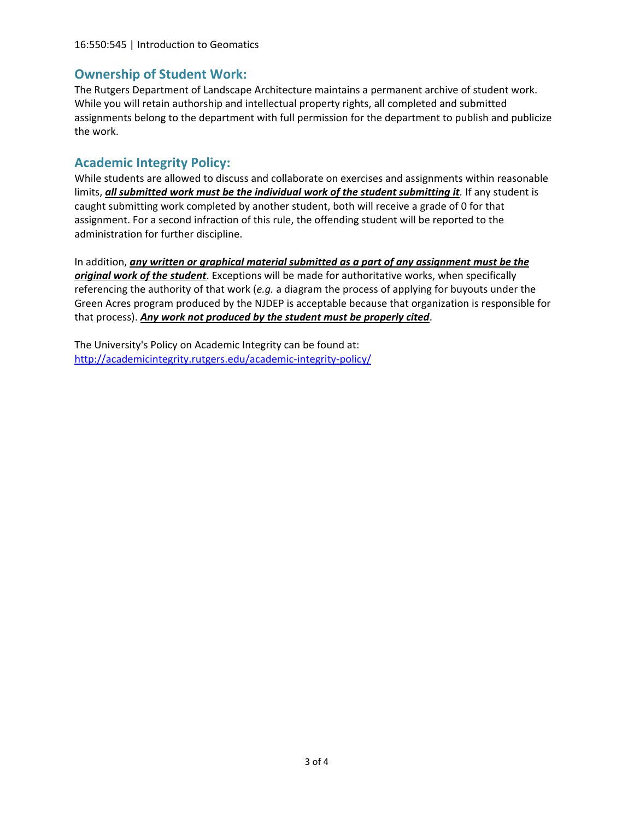#### 16:550:545 | Introduction to Geomatics

### **Ownership of Student Work:**

The Rutgers Department of Landscape Architecture maintains a permanent archive of student work. While you will retain authorship and intellectual property rights, all completed and submitted assignments belong to the department with full permission for the department to publish and publicize the work.

### **Academic Integrity Policy:**

While students are allowed to discuss and collaborate on exercises and assignments within reasonable limits, **all submitted work must be the individual work of the student submitting it**. If any student is caught submitting work completed by another student, both will receive a grade of 0 for that assignment. For a second infraction of this rule, the offending student will be reported to the administration for further discipline.

In addition, *any written or graphical material submitted as a part of any assignment must be the original work of the student*. Exceptions will be made for authoritative works, when specifically referencing the authority of that work (*e.g.* a diagram the process of applying for buyouts under the Green Acres program produced by the NJDEP is acceptable because that organization is responsible for that process). *Any work not produced by the student must be properly cited*.

The University's Policy on Academic Integrity can be found at: <http://academicintegrity.rutgers.edu/academic-integrity-policy/>